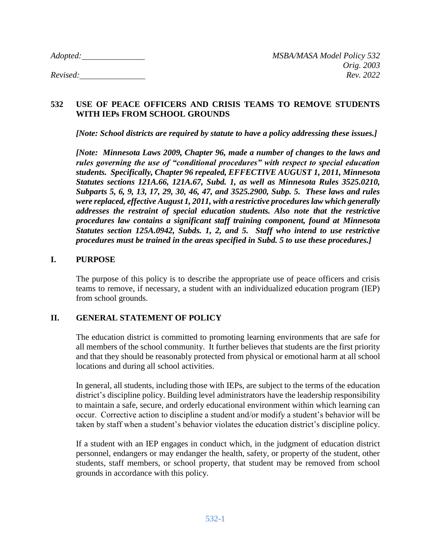## **532 USE OF PEACE OFFICERS AND CRISIS TEAMS TO REMOVE STUDENTS WITH IEPs FROM SCHOOL GROUNDS**

*[Note: School districts are required by statute to have a policy addressing these issues.]*

*[Note: Minnesota Laws 2009, Chapter 96, made a number of changes to the laws and rules governing the use of "conditional procedures" with respect to special education students. Specifically, Chapter 96 repealed, EFFECTIVE AUGUST 1, 2011, Minnesota Statutes sections 121A.66, 121A.67, Subd. 1, as well as Minnesota Rules 3525.0210, Subparts 5, 6, 9, 13, 17, 29, 30, 46, 47, and 3525.2900, Subp. 5. These laws and rules were replaced, effective August 1, 2011, with a restrictive procedures law which generally addresses the restraint of special education students. Also note that the restrictive procedures law contains a significant staff training component, found at Minnesota Statutes section 125A.0942, Subds. 1, 2, and 5. Staff who intend to use restrictive procedures must be trained in the areas specified in Subd. 5 to use these procedures.]*

## **I. PURPOSE**

The purpose of this policy is to describe the appropriate use of peace officers and crisis teams to remove, if necessary, a student with an individualized education program (IEP) from school grounds.

# **II. GENERAL STATEMENT OF POLICY**

The education district is committed to promoting learning environments that are safe for all members of the school community. It further believes that students are the first priority and that they should be reasonably protected from physical or emotional harm at all school locations and during all school activities.

In general, all students, including those with IEPs, are subject to the terms of the education district's discipline policy. Building level administrators have the leadership responsibility to maintain a safe, secure, and orderly educational environment within which learning can occur. Corrective action to discipline a student and/or modify a student's behavior will be taken by staff when a student's behavior violates the education district's discipline policy.

If a student with an IEP engages in conduct which, in the judgment of education district personnel, endangers or may endanger the health, safety, or property of the student, other students, staff members, or school property, that student may be removed from school grounds in accordance with this policy.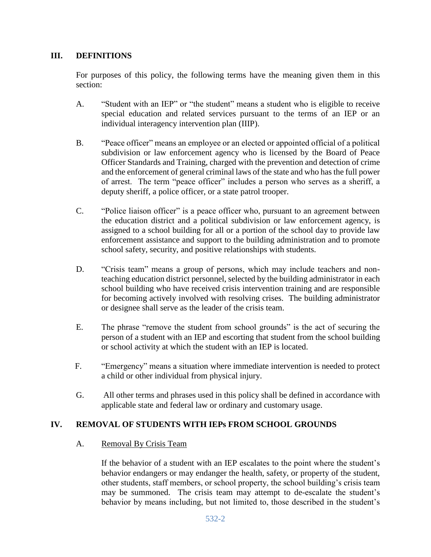# **III. DEFINITIONS**

For purposes of this policy, the following terms have the meaning given them in this section:

- A. "Student with an IEP" or "the student" means a student who is eligible to receive special education and related services pursuant to the terms of an IEP or an individual interagency intervention plan (IIIP).
- B. "Peace officer" means an employee or an elected or appointed official of a political subdivision or law enforcement agency who is licensed by the Board of Peace Officer Standards and Training, charged with the prevention and detection of crime and the enforcement of general criminal laws of the state and who has the full power of arrest. The term "peace officer" includes a person who serves as a sheriff, a deputy sheriff, a police officer, or a state patrol trooper.
- C. "Police liaison officer" is a peace officer who, pursuant to an agreement between the education district and a political subdivision or law enforcement agency, is assigned to a school building for all or a portion of the school day to provide law enforcement assistance and support to the building administration and to promote school safety, security, and positive relationships with students.
- D. "Crisis team" means a group of persons, which may include teachers and nonteaching education district personnel, selected by the building administrator in each school building who have received crisis intervention training and are responsible for becoming actively involved with resolving crises. The building administrator or designee shall serve as the leader of the crisis team.
- E. The phrase "remove the student from school grounds" is the act of securing the person of a student with an IEP and escorting that student from the school building or school activity at which the student with an IEP is located.
- F. "Emergency" means a situation where immediate intervention is needed to protect a child or other individual from physical injury.
- G. All other terms and phrases used in this policy shall be defined in accordance with applicable state and federal law or ordinary and customary usage.

# **IV. REMOVAL OF STUDENTS WITH IEPs FROM SCHOOL GROUNDS**

### A. Removal By Crisis Team

If the behavior of a student with an IEP escalates to the point where the student's behavior endangers or may endanger the health, safety, or property of the student, other students, staff members, or school property, the school building's crisis team may be summoned. The crisis team may attempt to de-escalate the student's behavior by means including, but not limited to, those described in the student's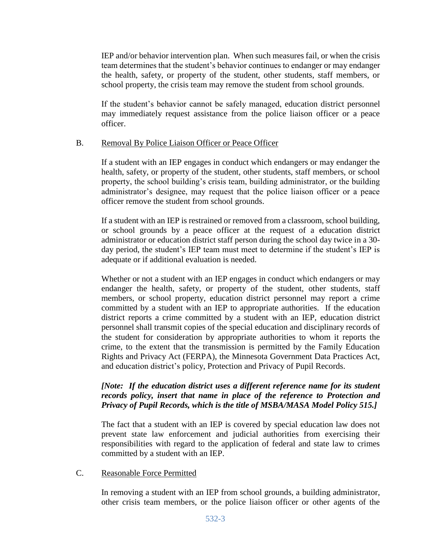IEP and/or behavior intervention plan. When such measures fail, or when the crisis team determines that the student's behavior continues to endanger or may endanger the health, safety, or property of the student, other students, staff members, or school property, the crisis team may remove the student from school grounds.

If the student's behavior cannot be safely managed, education district personnel may immediately request assistance from the police liaison officer or a peace officer.

## B. Removal By Police Liaison Officer or Peace Officer

If a student with an IEP engages in conduct which endangers or may endanger the health, safety, or property of the student, other students, staff members, or school property, the school building's crisis team, building administrator, or the building administrator's designee, may request that the police liaison officer or a peace officer remove the student from school grounds.

If a student with an IEP is restrained or removed from a classroom, school building, or school grounds by a peace officer at the request of a education district administrator or education district staff person during the school day twice in a 30 day period, the student's IEP team must meet to determine if the student's IEP is adequate or if additional evaluation is needed.

Whether or not a student with an IEP engages in conduct which endangers or may endanger the health, safety, or property of the student, other students, staff members, or school property, education district personnel may report a crime committed by a student with an IEP to appropriate authorities. If the education district reports a crime committed by a student with an IEP, education district personnel shall transmit copies of the special education and disciplinary records of the student for consideration by appropriate authorities to whom it reports the crime, to the extent that the transmission is permitted by the Family Education Rights and Privacy Act (FERPA), the Minnesota Government Data Practices Act, and education district's policy, Protection and Privacy of Pupil Records.

## *[Note: If the education district uses a different reference name for its student records policy, insert that name in place of the reference to Protection and Privacy of Pupil Records, which is the title of MSBA/MASA Model Policy 515.]*

The fact that a student with an IEP is covered by special education law does not prevent state law enforcement and judicial authorities from exercising their responsibilities with regard to the application of federal and state law to crimes committed by a student with an IEP.

### C. Reasonable Force Permitted

In removing a student with an IEP from school grounds, a building administrator, other crisis team members, or the police liaison officer or other agents of the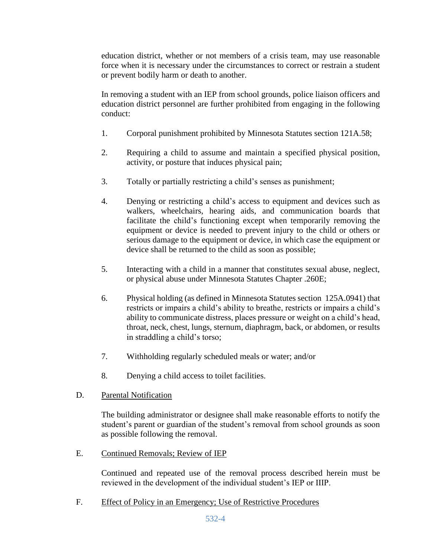education district, whether or not members of a crisis team, may use reasonable force when it is necessary under the circumstances to correct or restrain a student or prevent bodily harm or death to another.

In removing a student with an IEP from school grounds, police liaison officers and education district personnel are further prohibited from engaging in the following conduct:

- 1. Corporal punishment prohibited by Minnesota Statutes section 121A.58;
- 2. Requiring a child to assume and maintain a specified physical position, activity, or posture that induces physical pain;
- 3. Totally or partially restricting a child's senses as punishment;
- 4. Denying or restricting a child's access to equipment and devices such as walkers, wheelchairs, hearing aids, and communication boards that facilitate the child's functioning except when temporarily removing the equipment or device is needed to prevent injury to the child or others or serious damage to the equipment or device, in which case the equipment or device shall be returned to the child as soon as possible;
- 5. Interacting with a child in a manner that constitutes sexual abuse, neglect, or physical abuse under Minnesota Statutes Chapter .260E;
- 6. Physical holding (as defined in Minnesota Statutes section 125A.0941) that restricts or impairs a child's ability to breathe, restricts or impairs a child's ability to communicate distress, places pressure or weight on a child's head, throat, neck, chest, lungs, sternum, diaphragm, back, or abdomen, or results in straddling a child's torso;
- 7. Withholding regularly scheduled meals or water; and/or
- 8. Denying a child access to toilet facilities.
- D. Parental Notification

The building administrator or designee shall make reasonable efforts to notify the student's parent or guardian of the student's removal from school grounds as soon as possible following the removal.

E. Continued Removals; Review of IEP

Continued and repeated use of the removal process described herein must be reviewed in the development of the individual student's IEP or IIIP.

F. Effect of Policy in an Emergency; Use of Restrictive Procedures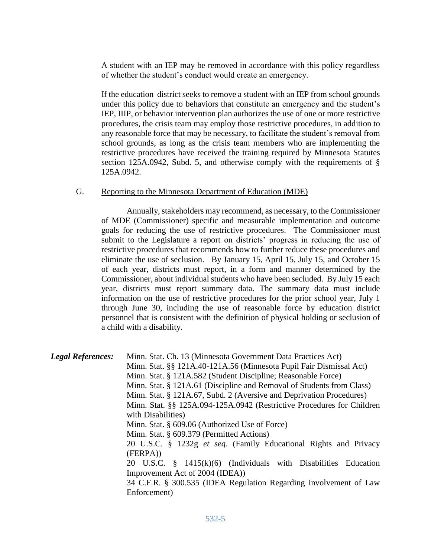A student with an IEP may be removed in accordance with this policy regardless of whether the student's conduct would create an emergency.

If the education district seeks to remove a student with an IEP from school grounds under this policy due to behaviors that constitute an emergency and the student's IEP, IIIP, or behavior intervention plan authorizes the use of one or more restrictive procedures, the crisis team may employ those restrictive procedures, in addition to any reasonable force that may be necessary, to facilitate the student's removal from school grounds, as long as the crisis team members who are implementing the restrictive procedures have received the training required by Minnesota Statutes section 125A.0942, Subd. 5, and otherwise comply with the requirements of § 125A.0942.

#### G. Reporting to the Minnesota Department of Education (MDE)

Annually, stakeholders may recommend, as necessary, to the Commissioner of MDE (Commissioner) specific and measurable implementation and outcome goals for reducing the use of restrictive procedures. The Commissioner must submit to the Legislature a report on districts' progress in reducing the use of restrictive procedures that recommends how to further reduce these procedures and eliminate the use of seclusion. By January 15, April 15, July 15, and October 15 of each year, districts must report, in a form and manner determined by the Commissioner, about individual students who have been secluded. By July 15 each year, districts must report summary data. The summary data must include information on the use of restrictive procedures for the prior school year, July 1 through June 30, including the use of reasonable force by education district personnel that is consistent with the definition of physical holding or seclusion of a child with a disability.

| <b>Legal References:</b> | Minn. Stat. Ch. 13 (Minnesota Government Data Practices Act)<br>Minn. Stat. §§ 121A.40-121A.56 (Minnesota Pupil Fair Dismissal Act)<br>Minn. Stat. § 121A.582 (Student Discipline; Reasonable Force)<br>Minn. Stat. § 121A.61 (Discipline and Removal of Students from Class)<br>Minn. Stat. § 121A.67, Subd. 2 (Aversive and Deprivation Procedures)<br>Minn. Stat. §§ 125A.094-125A.0942 (Restrictive Procedures for Children<br>with Disabilities)<br>Minn. Stat. § 609.06 (Authorized Use of Force)<br>Minn. Stat. § 609.379 (Permitted Actions)<br>20 U.S.C. § 1232g et seq. (Family Educational Rights and Privacy<br>(FERPA))<br>20 U.S.C. $\frac{8}{9}$ 1415(k)(6) (Individuals with Disabilities<br>Education<br>Improvement Act of 2004 (IDEA)) |
|--------------------------|-----------------------------------------------------------------------------------------------------------------------------------------------------------------------------------------------------------------------------------------------------------------------------------------------------------------------------------------------------------------------------------------------------------------------------------------------------------------------------------------------------------------------------------------------------------------------------------------------------------------------------------------------------------------------------------------------------------------------------------------------------------|
|                          | 34 C.F.R. § 300.535 (IDEA Regulation Regarding Involvement of Law<br>Enforcement)                                                                                                                                                                                                                                                                                                                                                                                                                                                                                                                                                                                                                                                                         |